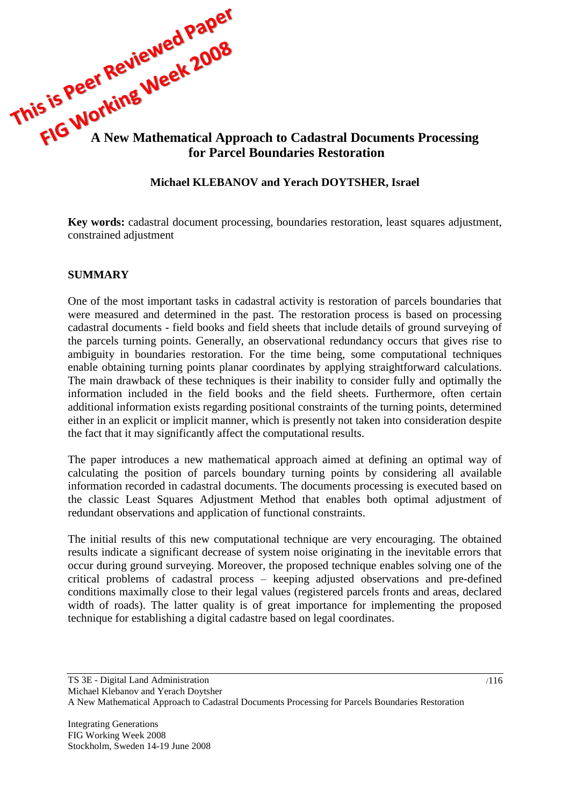

# **Michael KLEBANOV and Yerach DOYTSHER, Israel**

**Key words:** cadastral document processing, boundaries restoration, least squares adjustment, constrained adjustment

#### **SUMMARY**

One of the most important tasks in cadastral activity is restoration of parcels boundaries that were measured and determined in the past. The restoration process is based on processing cadastral documents - field books and field sheets that include details of ground surveying of the parcels turning points. Generally, an observational redundancy occurs that gives rise to ambiguity in boundaries restoration. For the time being, some computational techniques enable obtaining turning points planar coordinates by applying straightforward calculations. The main drawback of these techniques is their inability to consider fully and optimally the information included in the field books and the field sheets. Furthermore, often certain additional information exists regarding positional constraints of the turning points, determined either in an explicit or implicit manner, which is presently not taken into consideration despite the fact that it may significantly affect the computational results.

The paper introduces a new mathematical approach aimed at defining an optimal way of calculating the position of parcels boundary turning points by considering all available information recorded in cadastral documents. The documents processing is executed based on the classic Least Squares Adjustment Method that enables both optimal adjustment of redundant observations and application of functional constraints.

The initial results of this new computational technique are very encouraging. The obtained results indicate a significant decrease of system noise originating in the inevitable errors that occur during ground surveying. Moreover, the proposed technique enables solving one of the critical problems of cadastral process – keeping adjusted observations and pre-defined conditions maximally close to their legal values (registered parcels fronts and areas, declared width of roads). The latter quality is of great importance for implementing the proposed technique for establishing a digital cadastre based on legal coordinates.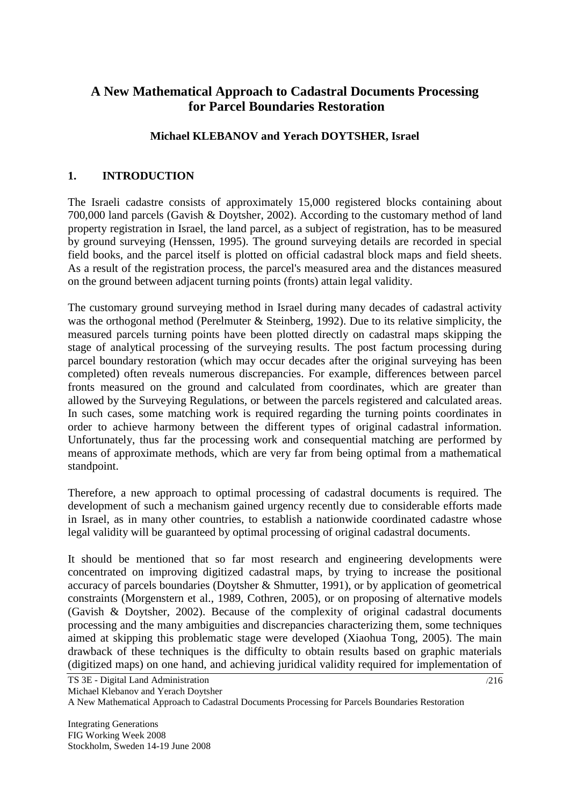# **A New Mathematical Approach to Cadastral Documents Processing for Parcel Boundaries Restoration**

# **Michael KLEBANOV and Yerach DOYTSHER, Israel**

# **1. INTRODUCTION**

The Israeli cadastre consists of approximately 15,000 registered blocks containing about 700,000 land parcels (Gavish & Doytsher, 2002). According to the customary method of land property registration in Israel, the land parcel, as a subject of registration, has to be measured by ground surveying (Henssen, 1995). The ground surveying details are recorded in special field books, and the parcel itself is plotted on official cadastral block maps and field sheets. As a result of the registration process, the parcel's measured area and the distances measured on the ground between adjacent turning points (fronts) attain legal validity.

The customary ground surveying method in Israel during many decades of cadastral activity was the orthogonal method (Perelmuter & Steinberg, 1992). Due to its relative simplicity, the measured parcels turning points have been plotted directly on cadastral maps skipping the stage of analytical processing of the surveying results. The post factum processing during parcel boundary restoration (which may occur decades after the original surveying has been completed) often reveals numerous discrepancies. For example, differences between parcel fronts measured on the ground and calculated from coordinates, which are greater than allowed by the Surveying Regulations, or between the parcels registered and calculated areas. In such cases, some matching work is required regarding the turning points coordinates in order to achieve harmony between the different types of original cadastral information. Unfortunately, thus far the processing work and consequential matching are performed by means of approximate methods, which are very far from being optimal from a mathematical standpoint.

Therefore, a new approach to optimal processing of cadastral documents is required. The development of such a mechanism gained urgency recently due to considerable efforts made in Israel, as in many other countries, to establish a nationwide coordinated cadastre whose legal validity will be guaranteed by optimal processing of original cadastral documents.

It should be mentioned that so far most research and engineering developments were concentrated on improving digitized cadastral maps, by trying to increase the positional accuracy of parcels boundaries (Doytsher & Shmutter, 1991), or by application of geometrical constraints (Morgenstern et al., 1989, Cothren, 2005), or on proposing of alternative models (Gavish & Doytsher, 2002). Because of the complexity of original cadastral documents processing and the many ambiguities and discrepancies characterizing them, some techniques aimed at skipping this problematic stage were developed (Xiaohua Tong, 2005). The main drawback of these techniques is the difficulty to obtain results based on graphic materials (digitized maps) on one hand, and achieving juridical validity required for implementation of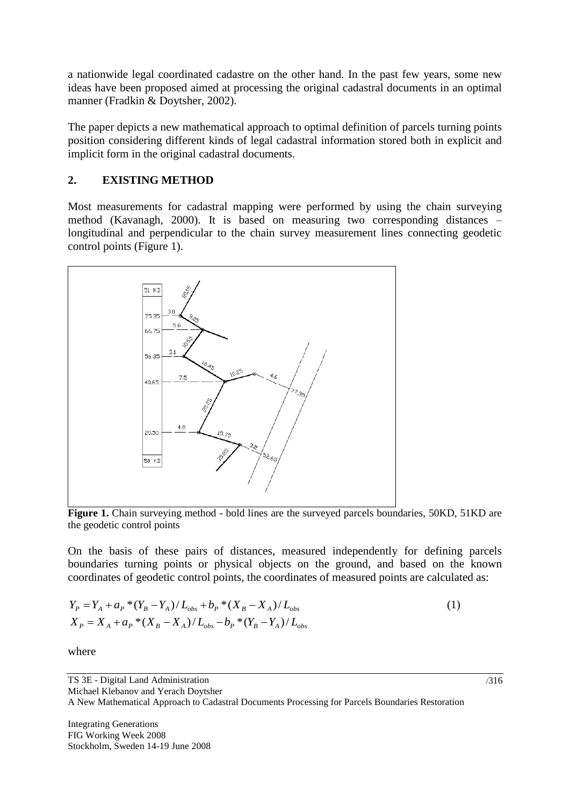a nationwide legal coordinated cadastre on the other hand. In the past few years, some new ideas have been proposed aimed at processing the original cadastral documents in an optimal manner (Fradkin & Doytsher, 2002).

The paper depicts a new mathematical approach to optimal definition of parcels turning points position considering different kinds of legal cadastral information stored both in explicit and implicit form in the original cadastral documents.

# <span id="page-2-1"></span>**2. EXISTING METHOD**

Most measurements for cadastral mapping were performed by using the chain surveying method (Kavanagh, 2000). It is based on measuring two corresponding distances – longitudinal and perpendicular to the chain survey measurement lines connecting geodetic control points [\(Figure 1\)](#page-2-0).



<span id="page-2-0"></span>Figure 1. Chain surveying method - bold lines are the surveyed parcels boundaries, 50KD, 51KD are the geodetic control points

On the basis of these pairs of distances, measured independently for defining parcels boundaries turning points or physical objects on the ground, and based on the known coordinates of geodetic control points, the coordinates of measured points are calculated as:

$$
Y_{P} = Y_{A} + a_{P} * (Y_{B} - Y_{A}) / L_{obs} + b_{P} * (X_{B} - X_{A}) / L_{obs}
$$
  
\n
$$
X_{P} = X_{A} + a_{P} * (X_{B} - X_{A}) / L_{obs} - b_{P} * (Y_{B} - Y_{A}) / L_{obs}
$$
\n(1)

where

TS 3E - Digital Land Administration Michael Klebanov and Yerach Doytsher A New Mathematical Approach to Cadastral Documents Processing for Parcels Boundaries Restoration

Integrating Generations FIG Working Week 2008 Stockholm, Sweden 14-19 June 2008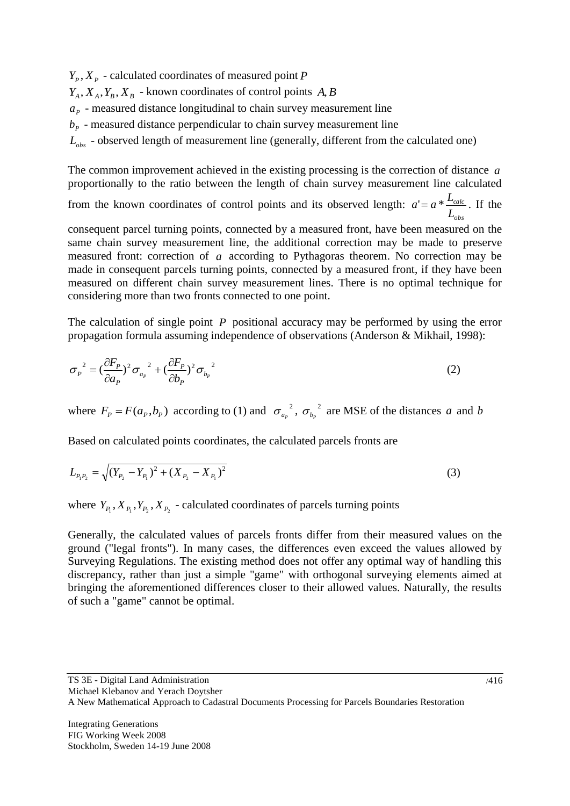$Y_p$ ,  $X_p$  - calculated coordinates of measured point *P*  $Y_A, X_A, Y_B, X_B$  - known coordinates of control points  $A, B$  $a<sub>p</sub>$  - measured distance longitudinal to chain survey measurement line  $b<sub>p</sub>$  - measured distance perpendicular to chain survey measurement line *Lobs* - observed length of measurement line (generally, different from the calculated one)

The common improvement achieved in the existing processing is the correction of distance *a* proportionally to the ratio between the length of chain survey measurement line calculated

from the known coordinates of control points and its observed length: *obs calc L*  $a' = a * \frac{L_{calc}}{I}$ . If the

consequent parcel turning points, connected by a measured front, have been measured on the same chain survey measurement line, the additional correction may be made to preserve measured front: correction of *a* according to Pythagoras theorem. No correction may be made in consequent parcels turning points, connected by a measured front, if they have been measured on different chain survey measurement lines. There is no optimal technique for considering more than two fronts connected to one point.

The calculation of single point P positional accuracy may be performed by using the error propagation formula assuming independence of observations (Anderson & Mikhail, 1998):

$$
\sigma_p^2 = \left(\frac{\partial F_p}{\partial a_p}\right)^2 \sigma_{a_p}^2 + \left(\frac{\partial F_p}{\partial b_p}\right)^2 \sigma_{b_p}^2 \tag{2}
$$

where  $F_p = F(a_p, b_p)$  according to (1) and  $\sigma_{a_p}^2$  $\sigma_{_{a_p}}{^{^2}},\,\sigma_{_{b_p}}{^{^2}}$  $\sigma_{b_p}^2$  are MSE of the distances *a* and *b* 

Based on calculated points coordinates, the calculated parcels fronts are

$$
L_{P_1P_2} = \sqrt{(Y_{P_2} - Y_{P_1})^2 + (X_{P_2} - X_{P_1})^2}
$$
\n(3)

where  $Y_{P_1}, X_{P_1}, Y_{P_2}, X_{P_2}$  - calculated coordinates of parcels turning points

Generally, the calculated values of parcels fronts differ from their measured values on the ground ("legal fronts"). In many cases, the differences even exceed the values allowed by Surveying Regulations. The existing method does not offer any optimal way of handling this discrepancy, rather than just a simple "game" with orthogonal surveying elements aimed at bringing the aforementioned differences closer to their allowed values. Naturally, the results of such a "game" cannot be optimal.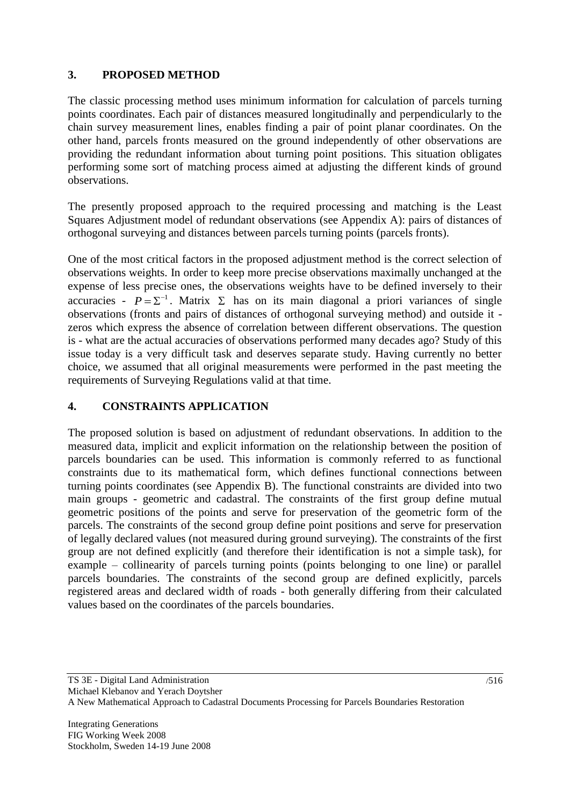# <span id="page-4-0"></span>**3. PROPOSED METHOD**

The classic processing method uses minimum information for calculation of parcels turning points coordinates. Each pair of distances measured longitudinally and perpendicularly to the chain survey measurement lines, enables finding a pair of point planar coordinates. On the other hand, parcels fronts measured on the ground independently of other observations are providing the redundant information about turning point positions. This situation obligates performing some sort of matching process aimed at adjusting the different kinds of ground observations.

The presently proposed approach to the required processing and matching is the Least Squares Adjustment model of redundant observations (see Appendix A): pairs of distances of orthogonal surveying and distances between parcels turning points (parcels fronts).

One of the most critical factors in the proposed adjustment method is the correct selection of observations weights. In order to keep more precise observations maximally unchanged at the expense of less precise ones, the observations weights have to be defined inversely to their accuracies -  $P = \Sigma^{-1}$ . Matrix  $\Sigma$  has on its main diagonal a priori variances of single observations (fronts and pairs of distances of orthogonal surveying method) and outside it zeros which express the absence of correlation between different observations. The question is - what are the actual accuracies of observations performed many decades ago? Study of this issue today is a very difficult task and deserves separate study. Having currently no better choice, we assumed that all original measurements were performed in the past meeting the requirements of Surveying Regulations valid at that time.

# <span id="page-4-1"></span>**4. CONSTRAINTS APPLICATION**

The proposed solution is based on adjustment of redundant observations. In addition to the measured data, implicit and explicit information on the relationship between the position of parcels boundaries can be used. This information is commonly referred to as functional constraints due to its mathematical form, which defines functional connections between turning points coordinates (see Appendix B). The functional constraints are divided into two main groups - geometric and cadastral. The constraints of the first group define mutual geometric positions of the points and serve for preservation of the geometric form of the parcels. The constraints of the second group define point positions and serve for preservation of legally declared values (not measured during ground surveying). The constraints of the first group are not defined explicitly (and therefore their identification is not a simple task), for example – collinearity of parcels turning points (points belonging to one line) or parallel parcels boundaries. The constraints of the second group are defined explicitly, parcels registered areas and declared width of roads - both generally differing from their calculated values based on the coordinates of the parcels boundaries.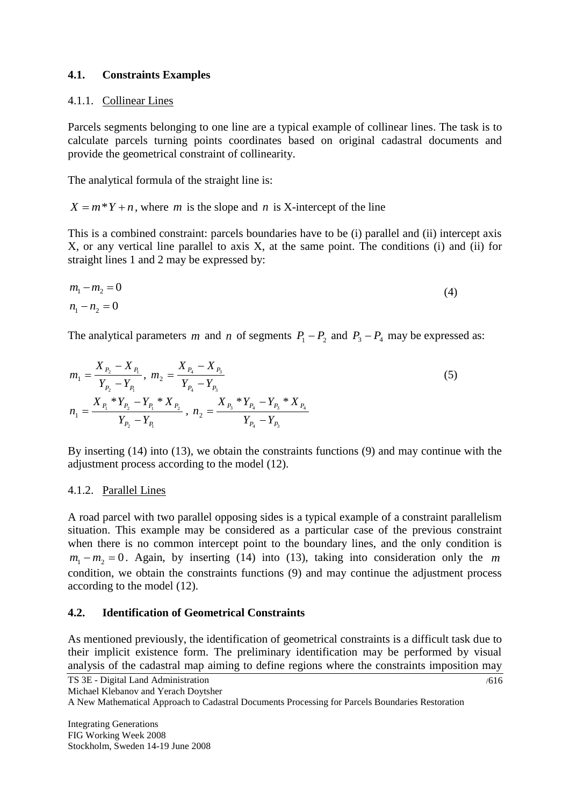### **4.1. Constraints Examples**

#### <span id="page-5-0"></span>4.1.1. Collinear Lines

Parcels segments belonging to one line are a typical example of collinear lines. The task is to calculate parcels turning points coordinates based on original cadastral documents and provide the geometrical constraint of collinearity.

The analytical formula of the straight line is:

 $X = m^*Y + n$ , where *m* is the slope and *n* is X-intercept of the line

This is a combined constraint: parcels boundaries have to be (i) parallel and (ii) intercept axis X, or any vertical line parallel to axis X, at the same point. The conditions (i) and (ii) for straight lines 1 and 2 may be expressed by:

$$
m_1 - m_2 = 0 \tag{4}
$$
  

$$
n_1 - n_2 = 0
$$

The analytical parameters *m* and *n* of segments  $P_1 - P_2$  and  $P_3 - P_4$  may be expressed as:

$$
m_1 = \frac{X_{P_2} - X_{P_1}}{Y_{P_2} - Y_{P_1}}, \ m_2 = \frac{X_{P_4} - X_{P_3}}{Y_{P_4} - Y_{P_3}}
$$
  
\n
$$
n_1 = \frac{X_{P_1} * Y_{P_2} - Y_{P_1} * X_{P_2}}{Y_{P_2} - Y_{P_1}}, \ n_2 = \frac{X_{P_3} * Y_{P_4} - Y_{P_3} * X_{P_4}}{Y_{P_4} - Y_{P_3}}
$$
\n(5)

By inserting (14) into (13), we obtain the constraints functions (9) and may continue with the adjustment process according to the model (12).

#### <span id="page-5-1"></span>4.1.2. Parallel Lines

A road parcel with two parallel opposing sides is a typical example of a constraint parallelism situation. This example may be considered as a particular case of the previous constraint when there is no common intercept point to the boundary lines, and the only condition is  $m_1 - m_2 = 0$ . Again, by inserting (14) into (13), taking into consideration only the m condition, we obtain the constraints functions (9) and may continue the adjustment process according to the model (12).

# <span id="page-5-2"></span>**4.2. Identification of Geometrical Constraints**

As mentioned previously, the identification of geometrical constraints is a difficult task due to their implicit existence form. The preliminary identification may be performed by visual analysis of the cadastral map aiming to define regions where the constraints imposition may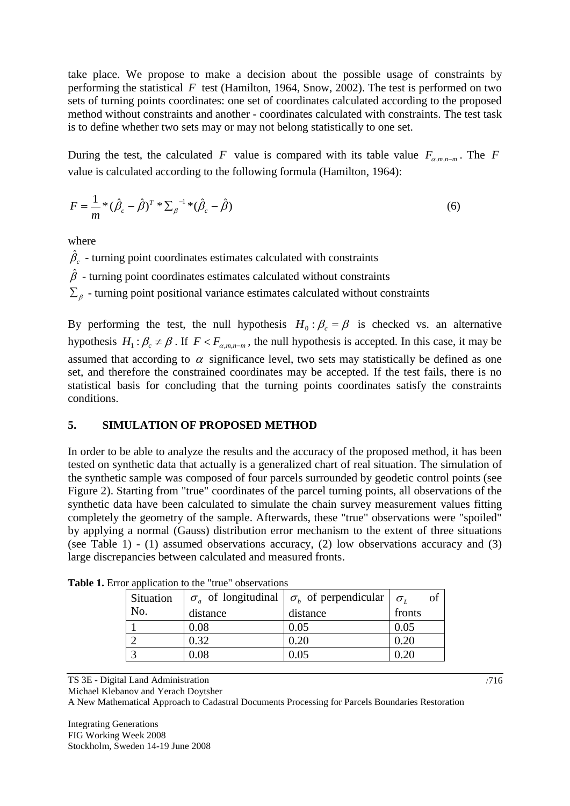take place. We propose to make a decision about the possible usage of constraints by performing the statistical  $F$  test (Hamilton, 1964, Snow, 2002). The test is performed on two sets of turning points coordinates: one set of coordinates calculated according to the proposed method without constraints and another - coordinates calculated with constraints. The test task is to define whether two sets may or may not belong statistically to one set.

During the test, the calculated F value is compared with its table value  $F_{\alpha,m,n-m}$ . The F value is calculated according to the following formula (Hamilton, 1964):

$$
F = \frac{1}{m} * (\hat{\beta}_c - \hat{\beta})^T * \sum_{\beta}^{-1} * (\hat{\beta}_c - \hat{\beta})
$$
 (6)

where

 $\hat{\beta}_c$  - turning point coordinates estimates calculated with constraints  $\hat{\beta}$  - turning point coordinates estimates calculated without constraints  $\Sigma_{\beta}$  - turning point positional variance estimates calculated without constraints

By performing the test, the null hypothesis  $H_0: \beta_c = \beta$  is checked vs. an alternative hypothesis  $H_1: \beta_c \neq \beta$ . If  $F < F_{\alpha, m, n-m}$ , the null hypothesis is accepted. In this case, it may be assumed that according to  $\alpha$  significance level, two sets may statistically be defined as one set, and therefore the constrained coordinates may be accepted. If the test fails, there is no statistical basis for concluding that the turning points coordinates satisfy the constraints conditions.

# **5. SIMULATION OF PROPOSED METHOD**

In order to be able to analyze the results and the accuracy of the proposed method, it has been tested on synthetic data that actually is a generalized chart of real situation. The simulation of the synthetic sample was composed of four parcels surrounded by geodetic control points (see [Figure 2\)](#page-7-0). Starting from "true" coordinates of the parcel turning points, all observations of the synthetic data have been calculated to simulate the chain survey measurement values fitting completely the geometry of the sample. Afterwards, these "true" observations were "spoiled" by applying a normal (Gauss) distribution error mechanism to the extent of three situations (see [Table 1\)](#page-6-0) - (1) assumed observations accuracy, (2) low observations accuracy and (3) large discrepancies between calculated and measured fronts.

| Situation |          | $\sigma_{a}$ of longitudinal $\sigma_{b}$ of perpendicular $\sigma_{b}$ |        |
|-----------|----------|-------------------------------------------------------------------------|--------|
| No.       | distance | distance                                                                | fronts |
|           | 0.08     | 0.05                                                                    | 0.05   |
|           | 0.32     | 0.20                                                                    | 0.20   |
|           | 0.08     |                                                                         |        |

<span id="page-6-0"></span>**Table 1.** Error application to the "true" observations

TS 3E - Digital Land Administration

Michael Klebanov and Yerach Doytsher

A New Mathematical Approach to Cadastral Documents Processing for Parcels Boundaries Restoration

Integrating Generations FIG Working Week 2008 Stockholm, Sweden 14-19 June 2008 /716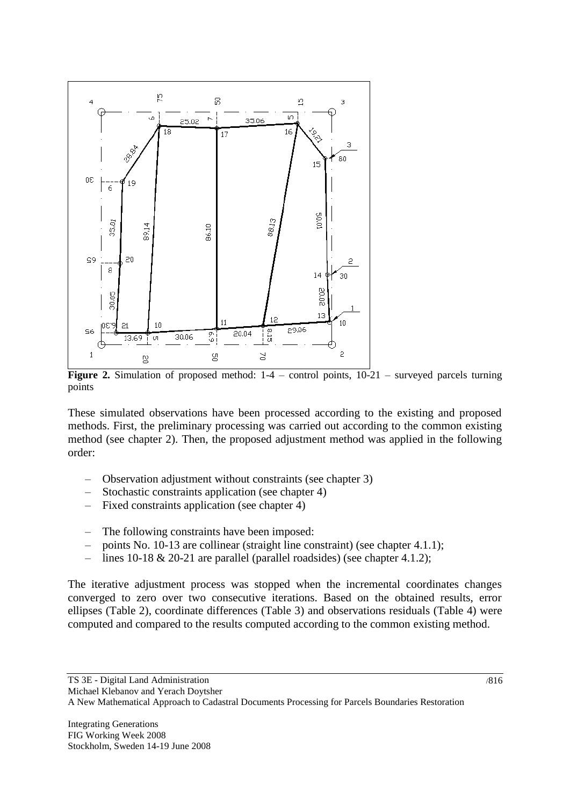

<span id="page-7-0"></span>Figure 2. Simulation of proposed method:  $1-4$  – control points,  $10-21$  – surveyed parcels turning points

These simulated observations have been processed according to the existing and proposed methods. First, the preliminary processing was carried out according to the common existing method (see chapter [2\)](#page-2-1). Then, the proposed adjustment method was applied in the following order:

- Observation adjustment without constraints (see chapter [3\)](#page-4-0)
- Stochastic constraints application (see chapter [4\)](#page-4-1)
- Fixed constraints application (see chapter [4\)](#page-4-1)
- The following constraints have been imposed:
- points No. 10-13 are collinear (straight line constraint) (see chapter [4.1.1\)](#page-5-0);
- lines 10-18 & 20-21 are parallel (parallel roadsides) (see chapter [4.1.2\)](#page-5-1);

The iterative adjustment process was stopped when the incremental coordinates changes converged to zero over two consecutive iterations. Based on the obtained results, error ellipses (Table 2), coordinate differences (Table 3) and observations residuals (Table 4) were computed and compared to the results computed according to the common existing method.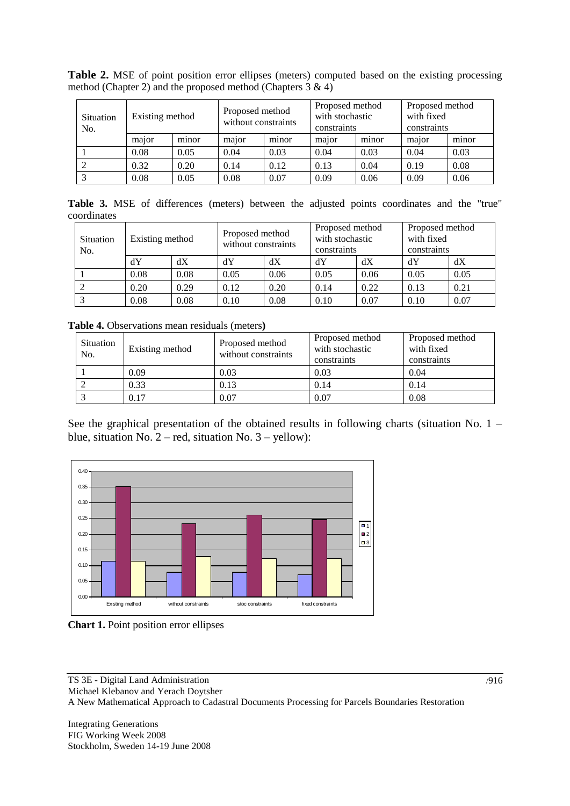| Situation<br>No. | Existing method |       | Proposed method<br>without constraints |       | Proposed method<br>with stochastic<br>constraints |       | Proposed method<br>with fixed<br>constraints |       |
|------------------|-----------------|-------|----------------------------------------|-------|---------------------------------------------------|-------|----------------------------------------------|-------|
|                  | major           | minor | major                                  | minor | major                                             | minor | major                                        | minor |
|                  | 0.08            | 0.05  | 0.04                                   | 0.03  | 0.04                                              | 0.03  | 0.04                                         | 0.03  |
|                  | 0.32            | 0.20  | 0.14                                   | 0.12  | 0.13                                              | 0.04  | 0.19                                         | 0.08  |
|                  | 0.08            | 0.05  | 0.08                                   | 0.07  | 0.09                                              | 0.06  | 0.09                                         | 0.06  |

**Table 2.** MSE of point position error ellipses (meters) computed based on the existing processing method (Chapter [2\)](#page-2-1) and the proposed method (Chapters  $3 \& 4$ )

Table 3. MSE of differences (meters) between the adjusted points coordinates and the "true" coordinates

| Situation<br>No. | Existing method |      | Proposed method<br>without constraints |      | Proposed method<br>with stochastic<br>constraints |      | Proposed method<br>with fixed<br>constraints |      |
|------------------|-----------------|------|----------------------------------------|------|---------------------------------------------------|------|----------------------------------------------|------|
|                  | dY              | dX   | dY                                     | dХ   | dY                                                | dX   | dY                                           | dX   |
|                  | 0.08            | 0.08 | 0.05                                   | 0.06 | 0.05                                              | 0.06 | 0.05                                         | 0.05 |
|                  | 0.20            | 0.29 | 0.12                                   | 0.20 | 0.14                                              | 0.22 | 0.13                                         | 0.21 |
|                  | 0.08            | 0.08 | 0.10                                   | 0.08 | 0.10                                              | 0.07 | 0.10                                         | 0.07 |

**Table 4.** Observations mean residuals (meters**)**

| Situation<br>No. | Existing method | Proposed method<br>without constraints | Proposed method<br>with stochastic<br>constraints | Proposed method<br>with fixed<br>constraints |  |
|------------------|-----------------|----------------------------------------|---------------------------------------------------|----------------------------------------------|--|
|                  | 0.09            | 0.03                                   | 0.03                                              | 0.04                                         |  |
|                  | 0.33            | 0.13                                   | 0.14                                              | 0.14                                         |  |
|                  | 0.17            | 0.07                                   | 0.07                                              | 0.08                                         |  |

See the graphical presentation of the obtained results in following charts (situation No. 1 – blue, situation No.  $2 - red$ , situation No.  $3 - yellow$ :



**Chart 1.** Point position error ellipses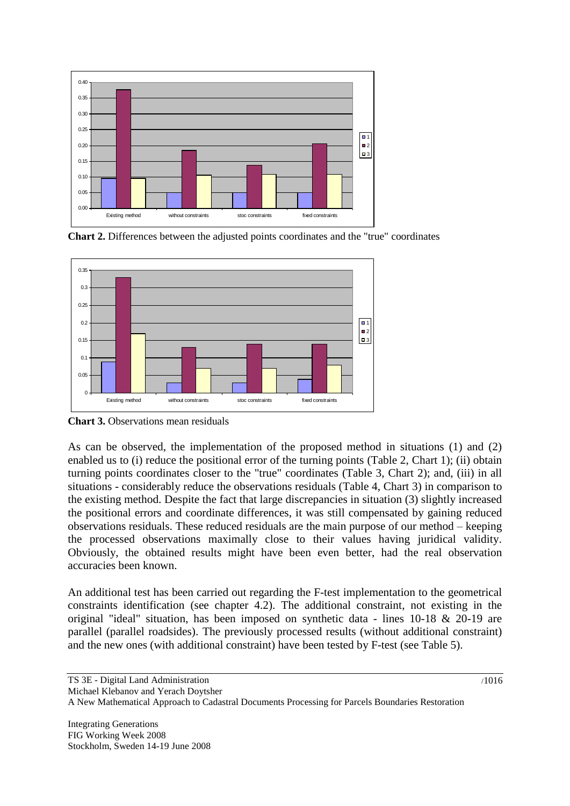

**Chart 2.** Differences between the adjusted points coordinates and the "true" coordinates



**Chart 3.** Observations mean residuals

As can be observed, the implementation of the proposed method in situations (1) and (2) enabled us to (i) reduce the positional error of the turning points (Table 2, Chart 1); (ii) obtain turning points coordinates closer to the "true" coordinates (Table 3, Chart 2); and, (iii) in all situations - considerably reduce the observations residuals (Table 4, Chart 3) in comparison to the existing method. Despite the fact that large discrepancies in situation (3) slightly increased the positional errors and coordinate differences, it was still compensated by gaining reduced observations residuals. These reduced residuals are the main purpose of our method – keeping the processed observations maximally close to their values having juridical validity. Obviously, the obtained results might have been even better, had the real observation accuracies been known.

An additional test has been carried out regarding the F-test implementation to the geometrical constraints identification (see chapter [4.2\)](#page-5-2). The additional constraint, not existing in the original "ideal" situation, has been imposed on synthetic data - lines 10-18 & 20-19 are parallel (parallel roadsides). The previously processed results (without additional constraint) and the new ones (with additional constraint) have been tested by F-test (see [Table 5\)](#page-10-0).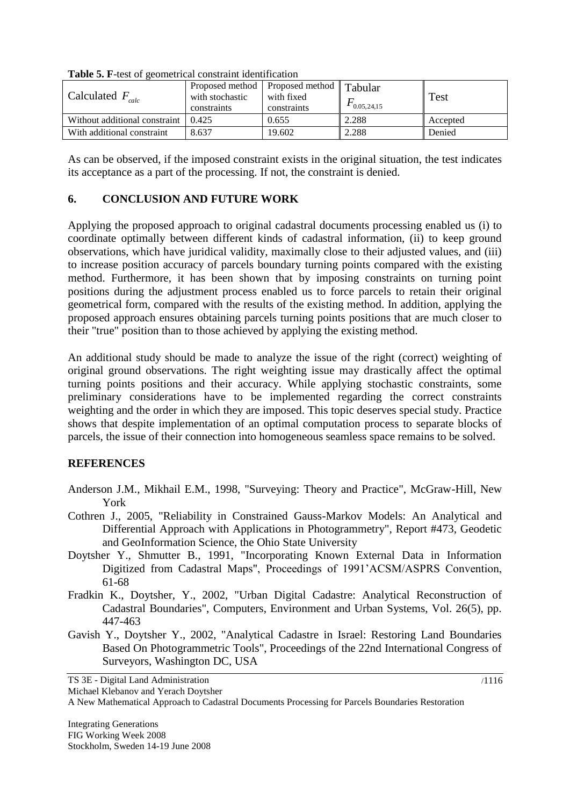| Calculated $F_{calc}$                 | Proposed method   Proposed method   $\text{Tabular}$<br>with stochastic<br>constraints | with fixed<br>constraints | 0.05, 24.15 | Test     |  |  |  |
|---------------------------------------|----------------------------------------------------------------------------------------|---------------------------|-------------|----------|--|--|--|
| Without additional constraint 1 0.425 |                                                                                        | 0.655                     | 2.288       | Accepted |  |  |  |
| With additional constraint            | 8.637                                                                                  | 19.602                    | 2.288       | Denied   |  |  |  |

<span id="page-10-0"></span>**Table 5. F**-test of geometrical constraint identification

As can be observed, if the imposed constraint exists in the original situation, the test indicates its acceptance as a part of the processing. If not, the constraint is denied.

### **6. CONCLUSION AND FUTURE WORK**

Applying the proposed approach to original cadastral documents processing enabled us (i) to coordinate optimally between different kinds of cadastral information, (ii) to keep ground observations, which have juridical validity, maximally close to their adjusted values, and (iii) to increase position accuracy of parcels boundary turning points compared with the existing method. Furthermore, it has been shown that by imposing constraints on turning point positions during the adjustment process enabled us to force parcels to retain their original geometrical form, compared with the results of the existing method. In addition, applying the proposed approach ensures obtaining parcels turning points positions that are much closer to their "true" position than to those achieved by applying the existing method.

An additional study should be made to analyze the issue of the right (correct) weighting of original ground observations. The right weighting issue may drastically affect the optimal turning points positions and their accuracy. While applying stochastic constraints, some preliminary considerations have to be implemented regarding the correct constraints weighting and the order in which they are imposed. This topic deserves special study. Practice shows that despite implementation of an optimal computation process to separate blocks of parcels, the issue of their connection into homogeneous seamless space remains to be solved.

#### **REFERENCES**

- Anderson J.M., Mikhail E.M., 1998, "Surveying: Theory and Practice", McGraw-Hill, New York
- Cothren J., 2005, "Reliability in Constrained Gauss-Markov Models: An Analytical and Differential Approach with Applications in Photogrammetry", Report #473, Geodetic and GeoInformation Science, the Ohio State University
- Doytsher Y., Shmutter B., 1991, "Incorporating Known External Data in Information Digitized from Cadastral Maps", Proceedings of 1991'ACSM/ASPRS Convention, 61-68
- Fradkin K., Doytsher, Y., 2002, "Urban Digital Cadastre: Analytical Reconstruction of Cadastral Boundaries", Computers, Environment and Urban Systems, Vol. 26(5), pp. 447-463
- Gavish Y., Doytsher Y., 2002, "Analytical Cadastre in Israel: Restoring Land Boundaries Based On Photogrammetric Tools", Proceedings of the 22nd International Congress of Surveyors, Washington DC, USA

TS 3E - Digital Land Administration

Michael Klebanov and Yerach Doytsher

A New Mathematical Approach to Cadastral Documents Processing for Parcels Boundaries Restoration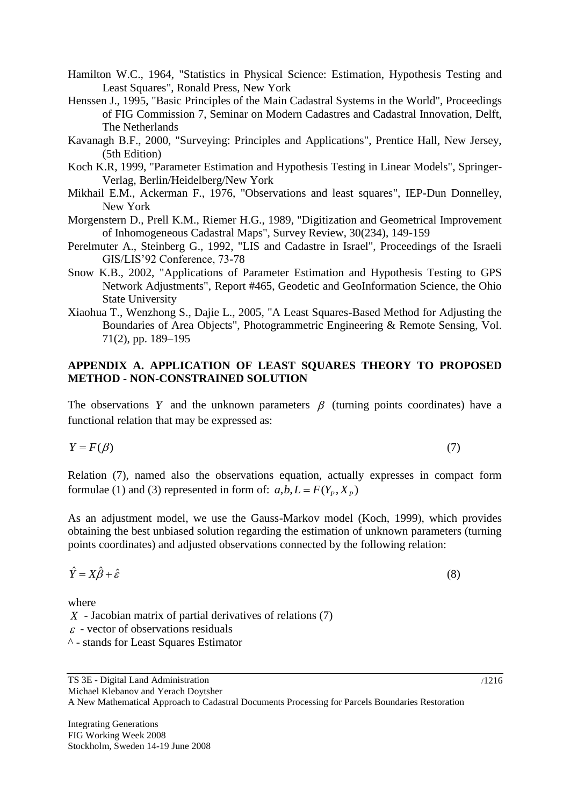Hamilton W.C., 1964, "Statistics in Physical Science: Estimation, Hypothesis Testing and Least Squares", Ronald Press, New York

- Henssen J., 1995, "Basic Principles of the Main Cadastral Systems in the World", Proceedings of FIG Commission 7, Seminar on Modern Cadastres and Cadastral Innovation, Delft, The Netherlands
- Kavanagh B.F., 2000, "Surveying: Principles and Applications", Prentice Hall, New Jersey, (5th Edition)
- Koch K.R, 1999, "Parameter Estimation and Hypothesis Testing in Linear Models", Springer-Verlag, Berlin/Heidelberg/New York
- Mikhail E.M., Ackerman F., 1976, "Observations and least squares", IEP-Dun Donnelley, New York
- Morgenstern D., Prell K.M., Riemer H.G., 1989, "Digitization and Geometrical Improvement of Inhomogeneous Cadastral Maps", Survey Review, 30(234), 149-159
- Perelmuter A., Steinberg G., 1992, "LIS and Cadastre in Israel", Proceedings of the Israeli GIS/LIS'92 Conference, 73-78
- Snow K.B., 2002, "Applications of Parameter Estimation and Hypothesis Testing to GPS Network Adjustments", Report #465, Geodetic and GeoInformation Science, the Ohio State University
- Xiaohua T., Wenzhong S., Dajie L., 2005, "A Least Squares-Based Method for Adjusting the Boundaries of Area Objects", Photogrammetric Engineering & Remote Sensing, Vol. 71(2), pp. 189–195

### **APPENDIX A. APPLICATION OF LEAST SQUARES THEORY TO PROPOSED METHOD - NON-CONSTRAINED SOLUTION**

The observations Y and the unknown parameters  $\beta$  (turning points coordinates) have a functional relation that may be expressed as:

$$
Y = F(\beta)
$$

Relation (7), named also the observations equation, actually expresses in compact form formulae (1) and (3) represented in form of:  $a,b, L = F(Y_p, X_p)$ 

As an adjustment model, we use the Gauss-Markov model (Koch, 1999), which provides obtaining the best unbiased solution regarding the estimation of unknown parameters (turning points coordinates) and adjusted observations connected by the following relation:

$$
\hat{Y} = X\hat{\beta} + \hat{\varepsilon}
$$

where

*X* - Jacobian matrix of partial derivatives of relations (7)

 $\varepsilon$  - vector of observations residuals

^ - stands for Least Squares Estimator

(7)

(8)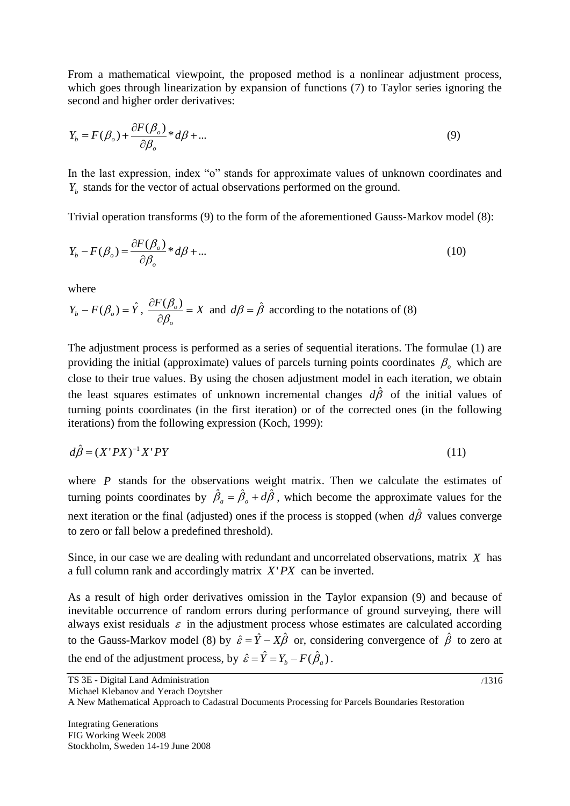From a mathematical viewpoint, the proposed method is a nonlinear adjustment process, which goes through linearization by expansion of functions (7) to Taylor series ignoring the second and higher order derivatives:

$$
Y_b = F(\beta_o) + \frac{\partial F(\beta_o)}{\partial \beta_o} * d\beta + \dots
$$
\n(9)

In the last expression, index "o" stands for approximate values of unknown coordinates and  $Y_b$  stands for the vector of actual observations performed on the ground.

Trivial operation transforms (9) to the form of the aforementioned Gauss-Markov model (8):

$$
Y_b - F(\beta_o) = \frac{\partial F(\beta_o)}{\partial \beta_o} * d\beta + \dots
$$
\n(10)

where

$$
Y_b - F(\beta_o) = \hat{Y}
$$
,  $\frac{\partial F(\beta_o)}{\partial \beta_o} = X$  and  $d\beta = \hat{\beta}$  according to the notations of (8)

The adjustment process is performed as a series of sequential iterations. The formulae (1) are providing the initial (approximate) values of parcels turning points coordinates  $\beta$ <sub>o</sub> which are close to their true values. By using the chosen adjustment model in each iteration, we obtain the least squares estimates of unknown incremental changes  $d\hat{\beta}$  of the initial values of turning points coordinates (in the first iteration) or of the corrected ones (in the following iterations) from the following expression (Koch, 1999):

$$
d\hat{\beta} = (X'PX)^{-1}X'PY
$$
\n(11)

where  $P$  stands for the observations weight matrix. Then we calculate the estimates of turning points coordinates by  $\hat{\beta}_a = \hat{\beta}_a + d\hat{\beta}$ , which become the approximate values for the next iteration or the final (adjusted) ones if the process is stopped (when  $d\hat{\beta}$  values converge to zero or fall below a predefined threshold).

Since, in our case we are dealing with redundant and uncorrelated observations, matrix *X* has a full column rank and accordingly matrix *X*'*PX* can be inverted.

As a result of high order derivatives omission in the Taylor expansion (9) and because of inevitable occurrence of random errors during performance of ground surveying, there will always exist residuals  $\varepsilon$  in the adjustment process whose estimates are calculated according to the Gauss-Markov model (8) by  $\hat{\varepsilon} = \hat{Y} - X\hat{\beta}$  or, considering convergence of  $\hat{\beta}$  to zero at the end of the adjustment process, by  $\hat{\varepsilon} = \hat{Y} = Y_b - F(\hat{\beta}_a)$ .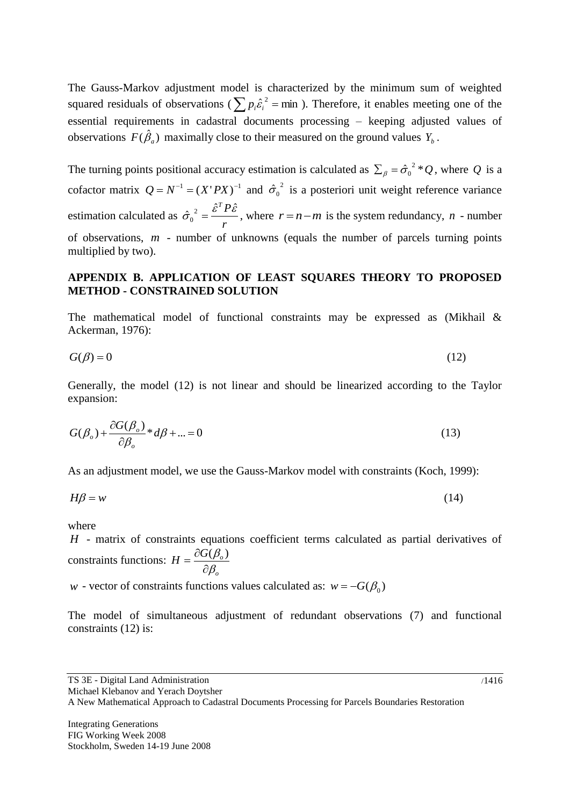The Gauss-Markov adjustment model is characterized by the minimum sum of weighted squared residuals of observations ( $\sum p_i \hat{\epsilon}_i^2$  = min ). Therefore, it enables meeting one of the essential requirements in cadastral documents processing – keeping adjusted values of observations  $F(\hat{\beta}_a)$  maximally close to their measured on the ground values  $Y_b$ .

The turning points positional accuracy estimation is calculated as  $\sum_{\beta} = \hat{\sigma}_0^2 * Q$ , where Q is a cofactor matrix  $Q = N^{-1} = (X'PX)^{-1}$  and  $\hat{\sigma}_0^2$  is a posteriori unit weight reference variance estimation calculated as *r*  $\hat{\sigma}_0^2 = \frac{\hat{\varepsilon}^T P \hat{\varepsilon}}{n}$ , where  $r = n - m$  is the system redundancy, *n* - number of observations, *m* - number of unknowns (equals the number of parcels turning points multiplied by two).

#### **APPENDIX B. APPLICATION OF LEAST SQUARES THEORY TO PROPOSED METHOD - CONSTRAINED SOLUTION**

The mathematical model of functional constraints may be expressed as (Mikhail & Ackerman, 1976):

$$
G(\beta) = 0 \tag{12}
$$

Generally, the model (12) is not linear and should be linearized according to the Taylor expansion:

$$
G(\beta_o) + \frac{\partial G(\beta_o)}{\partial \beta_o} * d\beta + \dots = 0
$$
\n(13)

As an adjustment model, we use the Gauss-Markov model with constraints (Koch, 1999):

$$
H\beta = w \tag{14}
$$

where

*H* - matrix of constraints equations coefficient terms calculated as partial derivatives of constraints functions: *o*  $H = \frac{\partial G(\beta_o)}{\partial \beta_o}$  $\beta$  $\beta$  $\partial$  $=\frac{\partial G(\beta_o)}{\partial \beta_o}$ 

*w* - vector of constraints functions values calculated as:  $w = -G(\beta_0)$ 

The model of simultaneous adjustment of redundant observations (7) and functional constraints (12) is:

TS 3E - Digital Land Administration Michael Klebanov and Yerach Doytsher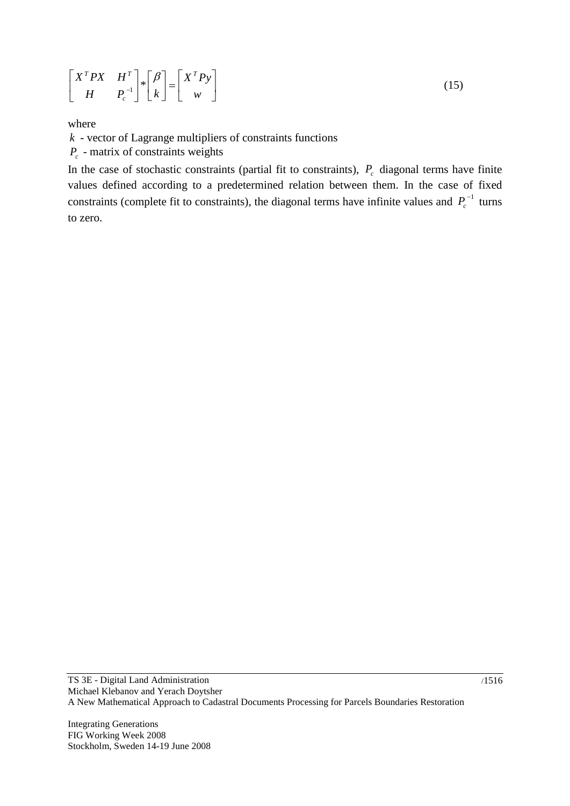$$
\begin{bmatrix} X^T P X & H^T \\ H & P_c \end{bmatrix} * \begin{bmatrix} \beta \\ k \end{bmatrix} = \begin{bmatrix} X^T P y \\ w \end{bmatrix}
$$
 (15)

where

*k* - vector of Lagrange multipliers of constraints functions

*Pc* - matrix of constraints weights

In the case of stochastic constraints (partial fit to constraints),  $P_c$  diagonal terms have finite values defined according to a predetermined relation between them. In the case of fixed constraints (complete fit to constraints), the diagonal terms have infinite values and  $P_c^{-1}$  turns to zero.